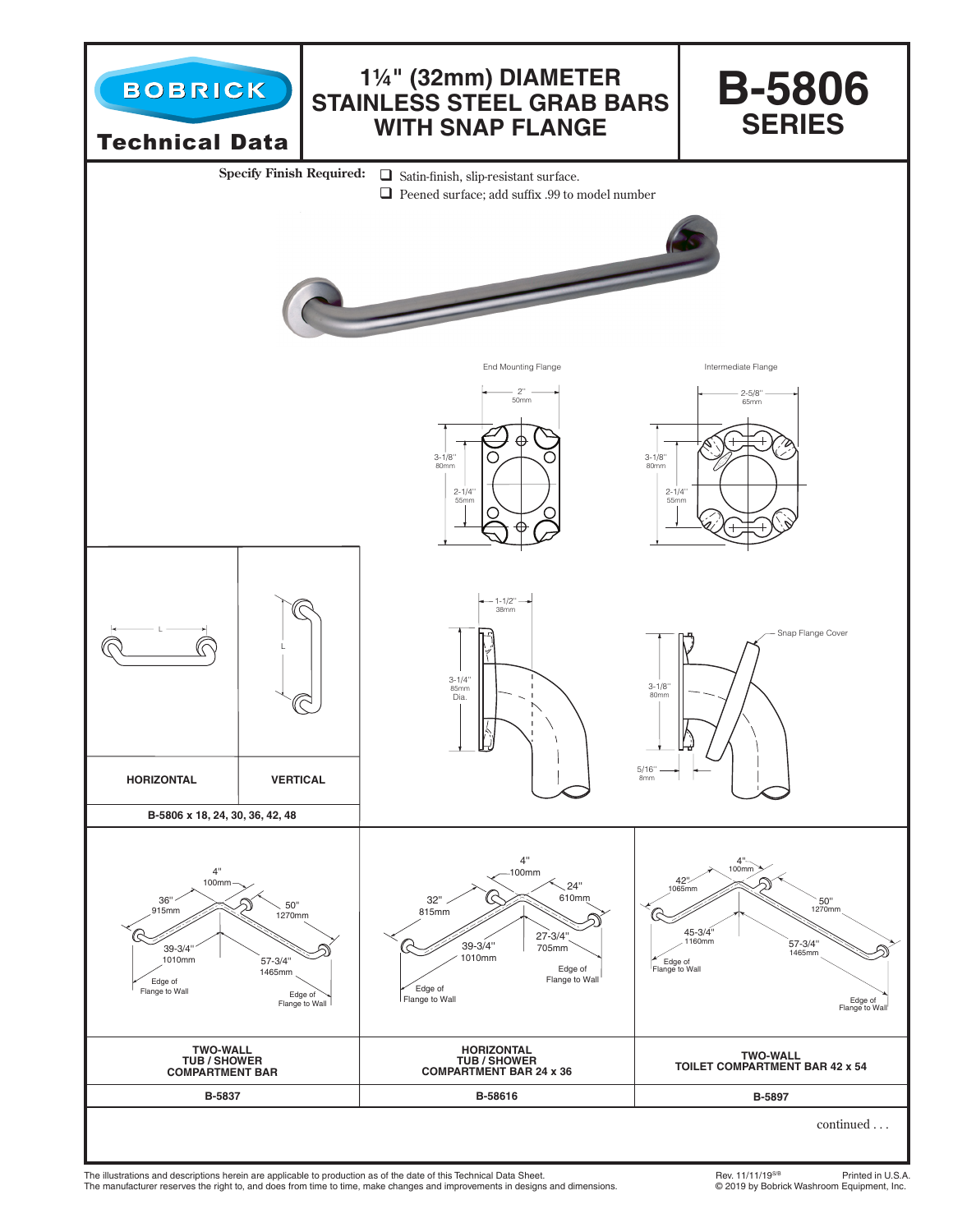

The illustrations and descriptions herein are applicable to production as of the date of this Technical Data Sheet.<br>The manufacturer reserves the right to, and does from time to time, make changes and improvements in desig